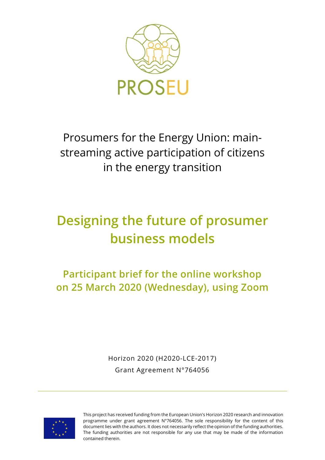

Prosumers for the Energy Union: mainstreaming active participation of citizens in the energy transition

# **Designing the future of prosumer business models**

**Participant brief for the online workshop on 25 March 2020 (Wednesday), using Zoom**

> Horizon 2020 (H2020-LCE-2017) Grant Agreement N°764056



This project has received funding from the European Union's Horizon 2020 research and innovation programme under grant agreement N°764056. The sole responsibility for the content of this document lies with the authors. It does not necessarily reflect the opinion of the funding authorities. The funding authorities are not responsible for any use that may be made of the information contained therein.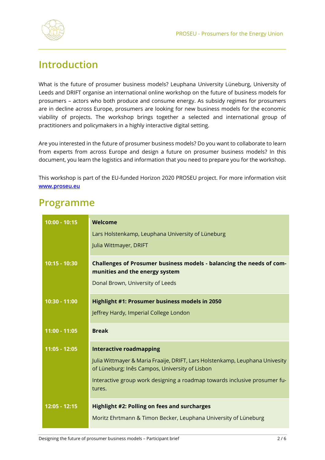

## **Introduction**

What is the future of prosumer business models? Leuphana University Lüneburg, University of Leeds and DRIFT organise an international online workshop on the future of business models for prosumers – actors who both produce and consume energy. As subsidy regimes for prosumers are in decline across Europe, prosumers are looking for new business models for the economic viability of projects. The workshop brings together a selected and international group of practitioners and policymakers in a highly interactive digital setting.

Are you interested in the future of prosumer business models? Do you want to collaborate to learn from experts from across Europe and design a future on prosumer business models? In this document, you learn the logistics and information that you need to prepare you for the workshop.

This workshop is part of the EU-funded Horizon 2020 PROSEU project. For more information visit **[www.proseu.eu](http://www.proseu.eu/)**

### **Programme**

| $10:00 - 10:15$ | <b>Welcome</b><br>Lars Holstenkamp, Leuphana University of Lüneburg<br>Julia Wittmayer, DRIFT                                                                                                                                                           |
|-----------------|---------------------------------------------------------------------------------------------------------------------------------------------------------------------------------------------------------------------------------------------------------|
| 10:15 - 10:30   | Challenges of Prosumer business models - balancing the needs of com-<br>munities and the energy system<br>Donal Brown, University of Leeds                                                                                                              |
| 10:30 - 11:00   | Highlight #1: Prosumer business models in 2050<br>Jeffrey Hardy, Imperial College London                                                                                                                                                                |
| 11:00 - 11:05   | <b>Break</b>                                                                                                                                                                                                                                            |
| $11:05 - 12:05$ | <b>Interactive roadmapping</b><br>Julia Wittmayer & Maria Fraaije, DRIFT, Lars Holstenkamp, Leuphana Univesity<br>of Lüneburg; Inês Campos, University of Lisbon<br>Interactive group work designing a roadmap towards inclusive prosumer fu-<br>tures. |
| 12:05 - 12:15   | <b>Highlight #2: Polling on fees and surcharges</b><br>Moritz Ehrtmann & Timon Becker, Leuphana University of Lüneburg                                                                                                                                  |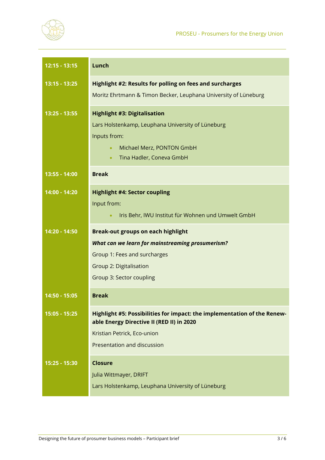

| $12:15 - 13:15$ | Lunch                                                                           |
|-----------------|---------------------------------------------------------------------------------|
| $13:15 - 13:25$ | Highlight #2: Results for polling on fees and surcharges                        |
|                 | Moritz Ehrtmann & Timon Becker, Leuphana University of Lüneburg                 |
| $13:25 - 13:55$ | <b>Highlight #3: Digitalisation</b>                                             |
|                 | Lars Holstenkamp, Leuphana University of Lüneburg                               |
|                 | Inputs from:                                                                    |
|                 | Michael Merz, PONTON GmbH<br>$\bullet$<br>Tina Hadler, Coneva GmbH<br>$\bullet$ |
| 13:55 - 14:00   | <b>Break</b>                                                                    |
|                 |                                                                                 |
| 14:00 - 14:20   | <b>Highlight #4: Sector coupling</b>                                            |
|                 | Input from:                                                                     |
|                 | Iris Behr, IWU Institut für Wohnen und Umwelt GmbH                              |
| 14:20 - 14:50   | <b>Break-out groups on each highlight</b>                                       |
|                 | What can we learn for mainstreaming prosumerism?                                |
|                 | Group 1: Fees and surcharges                                                    |
|                 | Group 2: Digitalisation                                                         |
|                 | Group 3: Sector coupling                                                        |
| 14:50 - 15:05   | <b>Break</b>                                                                    |
| 15:05 - 15:25   | Highlight #5: Possibilities for impact: the implementation of the Renew-        |
|                 | able Energy Directive II (RED II) in 2020<br>Kristian Petrick, Eco-union        |
|                 | Presentation and discussion                                                     |
|                 |                                                                                 |
| 15:25 - 15:30   | <b>Closure</b>                                                                  |
|                 | Julia Wittmayer, DRIFT                                                          |
|                 | Lars Holstenkamp, Leuphana University of Lüneburg                               |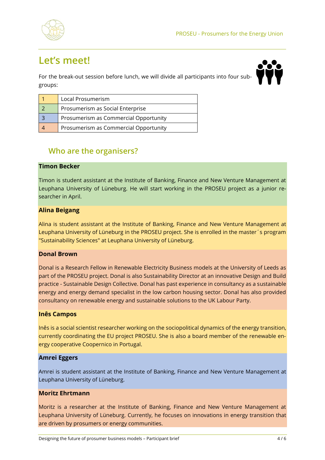

## **Let's meet!**

For the break-out session before lunch, we will divide all participants into four subgroups:



| Local Prosumerism                     |
|---------------------------------------|
| Prosumerism as Social Enterprise      |
| Prosumerism as Commercial Opportunity |
| Prosumerism as Commercial Opportunity |

### **Who are the organisers?**

#### **Timon Becker**

Timon is student assistant at the Institute of Banking, Finance and New Venture Management at Leuphana University of Lüneburg. He will start working in the PROSEU project as a junior researcher in April.

#### **Alina Beigang**

Alina is student assistant at the Institute of Banking, Finance and New Venture Management at Leuphana University of Lüneburg in the PROSEU project. She is enrolled in the master´s program "Sustainability Sciences" at Leuphana University of Lüneburg.

#### **Donal Brown**

Donal is a Research Fellow in Renewable Electricity Business models at the University of Leeds as part of the PROSEU project. Donal is also Sustainability Director at an innovative Design and Build practice - Sustainable Design Collective. Donal has past experience in consultancy as a sustainable energy and energy demand specialist in the low carbon housing sector. Donal has also provided consultancy on renewable energy and sustainable solutions to the UK Labour Party.

#### **Inês Campos**

Inês is a social scientist researcher working on the sociopolitical dynamics of the energy transition, currently coordinating the EU project PROSEU. She is also a board member of the renewable energy cooperative Coopernico in Portugal.

#### **Amrei Eggers**

Amrei is student assistant at the Institute of Banking, Finance and New Venture Management at Leuphana University of Lüneburg.

#### **Moritz Ehrtmann**

Moritz is a researcher at the Institute of Banking, Finance and New Venture Management at Leuphana University of Lüneburg. Currently, he focuses on innovations in energy transition that are driven by prosumers or energy communities.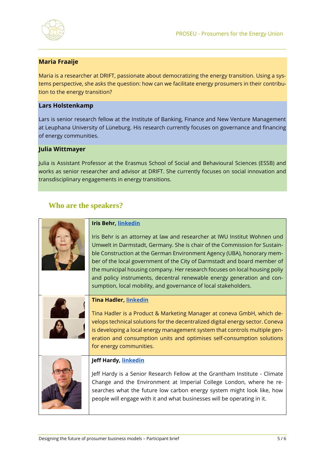

#### **Maria Fraaije**

Maria is a researcher at DRIFT, passionate about democratizing the energy transition. Using a systems perspective, she asks the question: how can we facilitate energy prosumers in their contribution to the energy transition?

#### **Lars Holstenkamp**

Lars is senior research fellow at the Institute of Banking, Finance and New Venture Management at Leuphana University of Lüneburg. His research currently focuses on governance and financing of energy communities.

#### **Julia Wittmayer**

Julia is Assistant Professor at the Erasmus School of Social and Behavioural Sciences (ESSB) and works as senior researcher and advisor at DRIFT. She currently focuses on social innovation and transdisciplinary engagements in energy transitions.

#### **Who are the speakers?**